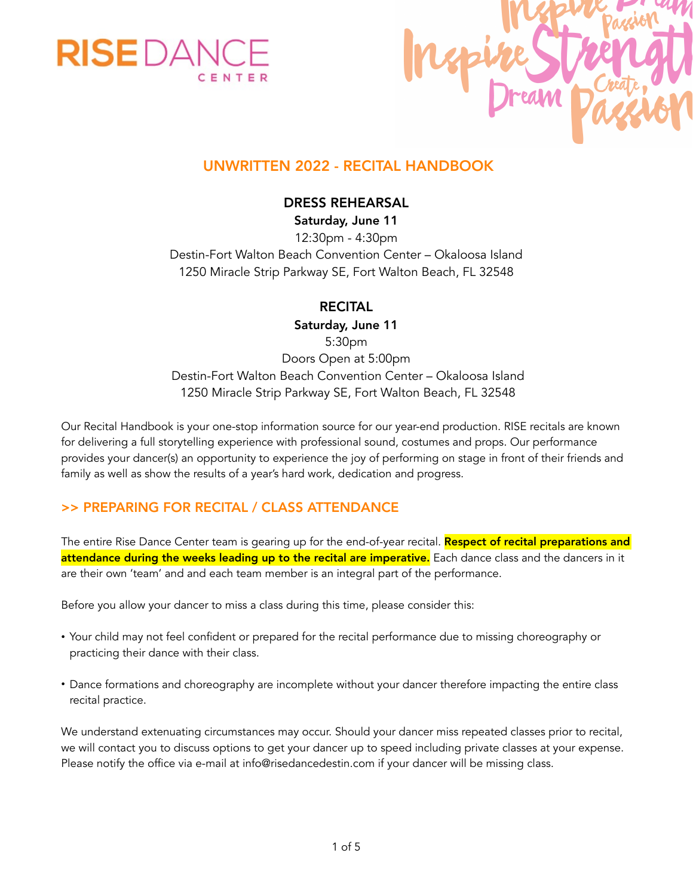



# UNWRITTEN 2022 - RECITAL HANDBOOK

### DRESS REHEARSAL

Saturday, June 11 12:30pm - 4:30pm Destin-Fort Walton Beach Convention Center – Okaloosa Island 1250 Miracle Strip Parkway SE, Fort Walton Beach, FL 32548

### RECITAL

Saturday, June 11 5:30pm Doors Open at 5:00pm Destin-Fort Walton Beach Convention Center – Okaloosa Island 1250 Miracle Strip Parkway SE, Fort Walton Beach, FL 32548

Our Recital Handbook is your one-stop information source for our year-end production. RISE recitals are known for delivering a full storytelling experience with professional sound, costumes and props. Our performance provides your dancer(s) an opportunity to experience the joy of performing on stage in front of their friends and family as well as show the results of a year's hard work, dedication and progress.

## >> PREPARING FOR RECITAL / CLASS ATTENDANCE

The entire Rise Dance Center team is gearing up for the end-of-year recital. Respect of recital preparations and attendance during the weeks leading up to the recital are imperative. Each dance class and the dancers in it are their own 'team' and and each team member is an integral part of the performance.

Before you allow your dancer to miss a class during this time, please consider this:

- Your child may not feel confident or prepared for the recital performance due to missing choreography or practicing their dance with their class.
- Dance formations and choreography are incomplete without your dancer therefore impacting the entire class recital practice.

We understand extenuating circumstances may occur. Should your dancer miss repeated classes prior to recital, we will contact you to discuss options to get your dancer up to speed including private classes at your expense. Please notify the office via e-mail at info@risedancedestin.com if your dancer will be missing class.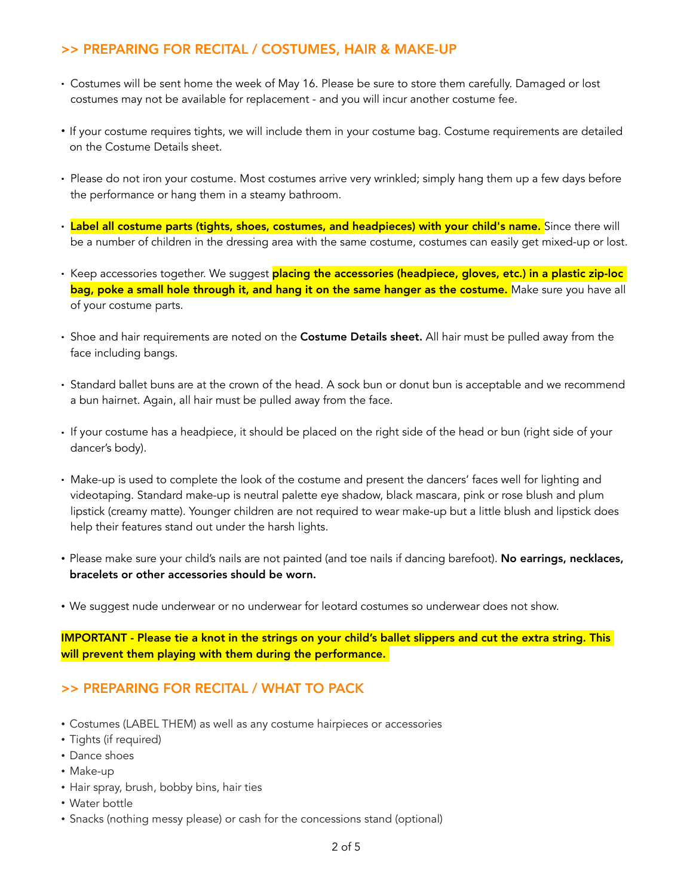## >> PREPARING FOR RECITAL / COSTUMES, HAIR & MAKE-UP

- Costumes will be sent home the week of May 16. Please be sure to store them carefully. Damaged or lost costumes may not be available for replacement - and you will incur another costume fee.
- If your costume requires tights, we will include them in your costume bag. Costume requirements are detailed on the Costume Details sheet.
- Please do not iron your costume. Most costumes arrive very wrinkled; simply hang them up a few days before the performance or hang them in a steamy bathroom.
- Label all costume parts (tights, shoes, costumes, and headpieces) with your child's name. Since there will be a number of children in the dressing area with the same costume, costumes can easily get mixed-up or lost.
- Keep accessories together. We suggest <mark>placing the accessories (headpiece, gloves, etc.) in a plastic zip-loc</mark> bag, poke a small hole through it, and hang it on the same hanger as the costume. Make sure you have all of your costume parts.
- Shoe and hair requirements are noted on the Costume Details sheet. All hair must be pulled away from the face including bangs.
- Standard ballet buns are at the crown of the head. A sock bun or donut bun is acceptable and we recommend a bun hairnet. Again, all hair must be pulled away from the face.
- If your costume has a headpiece, it should be placed on the right side of the head or bun (right side of your dancer's body).
- Make-up is used to complete the look of the costume and present the dancers' faces well for lighting and videotaping. Standard make-up is neutral palette eye shadow, black mascara, pink or rose blush and plum lipstick (creamy matte). Younger children are not required to wear make-up but a little blush and lipstick does help their features stand out under the harsh lights.
- Please make sure your child's nails are not painted (and toe nails if dancing barefoot). No earrings, necklaces, bracelets or other accessories should be worn.
- We suggest nude underwear or no underwear for leotard costumes so underwear does not show.

IMPORTANT - Please tie a knot in the strings on your child's ballet slippers and cut the extra string. This will prevent them playing with them during the performance.

#### >> PREPARING FOR RECITAL / WHAT TO PACK

- Costumes (LABEL THEM) as well as any costume hairpieces or accessories
- Tights (if required)
- Dance shoes
- Make-up
- Hair spray, brush, bobby bins, hair ties
- Water bottle
- Snacks (nothing messy please) or cash for the concessions stand (optional)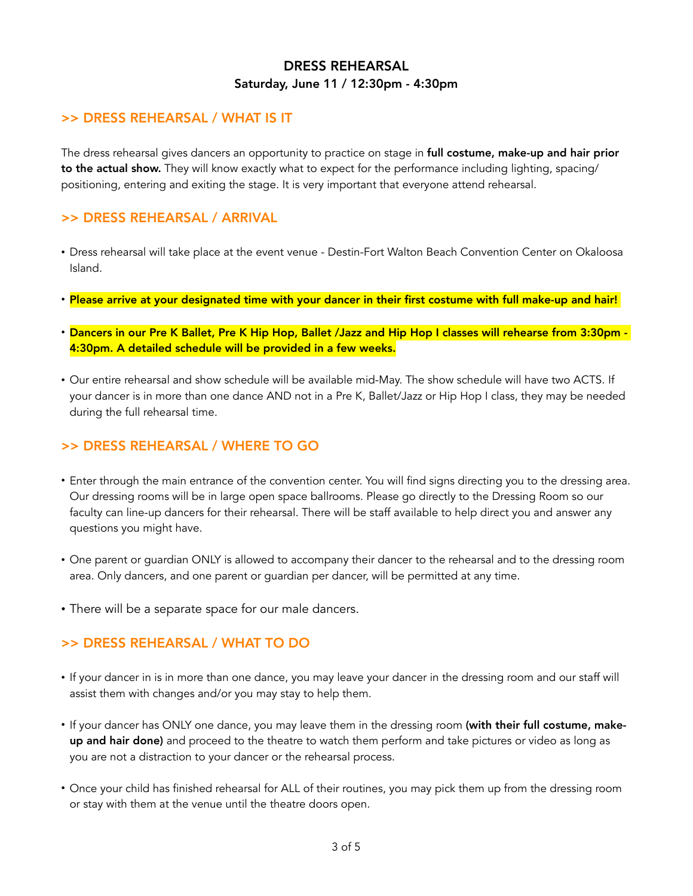## DRESS REHEARSAL Saturday, June 11 / 12:30pm - 4:30pm

### >> DRESS REHEARSAL / WHAT IS IT

The dress rehearsal gives dancers an opportunity to practice on stage in full costume, make-up and hair prior to the actual show. They will know exactly what to expect for the performance including lighting, spacing/ positioning, entering and exiting the stage. It is very important that everyone attend rehearsal.

## >> DRESS REHEARSAL / ARRIVAL

- Dress rehearsal will take place at the event venue Destin-Fort Walton Beach Convention Center on Okaloosa Island.
- Please arrive at your designated time with your dancer in their first costume with full make-up and hair!
- Dancers in our Pre K Ballet, Pre K Hip Hop, Ballet /Jazz and Hip Hop I classes will rehearse from 3:30pm 4:30pm. A detailed schedule will be provided in a few weeks.
- Our entire rehearsal and show schedule will be available mid-May. The show schedule will have two ACTS. If your dancer is in more than one dance AND not in a Pre K, Ballet/Jazz or Hip Hop I class, they may be needed during the full rehearsal time.

#### >> DRESS REHEARSAL / WHERE TO GO

- Enter through the main entrance of the convention center. You will find signs directing you to the dressing area. Our dressing rooms will be in large open space ballrooms. Please go directly to the Dressing Room so our faculty can line-up dancers for their rehearsal. There will be staff available to help direct you and answer any questions you might have.
- One parent or guardian ONLY is allowed to accompany their dancer to the rehearsal and to the dressing room area. Only dancers, and one parent or guardian per dancer, will be permitted at any time.
- There will be a separate space for our male dancers.

## >> DRESS REHEARSAL / WHAT TO DO

- If your dancer in is in more than one dance, you may leave your dancer in the dressing room and our staff will assist them with changes and/or you may stay to help them.
- If your dancer has ONLY one dance, you may leave them in the dressing room (with their full costume, makeup and hair done) and proceed to the theatre to watch them perform and take pictures or video as long as you are not a distraction to your dancer or the rehearsal process.
- Once your child has finished rehearsal for ALL of their routines, you may pick them up from the dressing room or stay with them at the venue until the theatre doors open.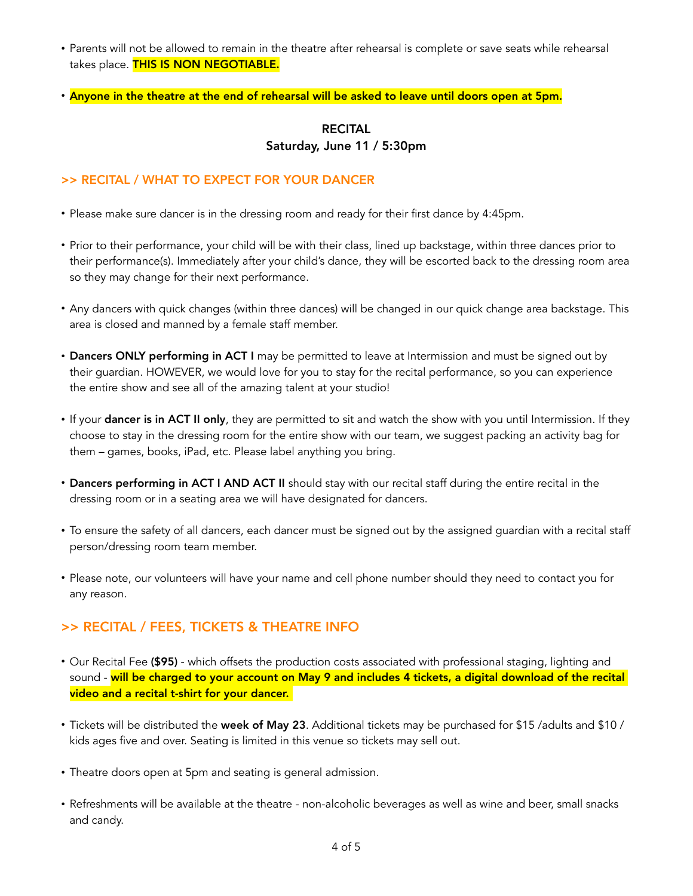- Parents will not be allowed to remain in the theatre after rehearsal is complete or save seats while rehearsal takes place. THIS IS NON NEGOTIABLE.
- Anyone in the theatre at the end of rehearsal will be asked to leave until doors open at 5pm.

### RECITAL Saturday, June 11 / 5:30pm

#### >> RECITAL / WHAT TO EXPECT FOR YOUR DANCER

- Please make sure dancer is in the dressing room and ready for their first dance by 4:45pm.
- Prior to their performance, your child will be with their class, lined up backstage, within three dances prior to their performance(s). Immediately after your child's dance, they will be escorted back to the dressing room area so they may change for their next performance.
- Any dancers with quick changes (within three dances) will be changed in our quick change area backstage. This area is closed and manned by a female staff member.
- Dancers ONLY performing in ACT I may be permitted to leave at Intermission and must be signed out by their guardian. HOWEVER, we would love for you to stay for the recital performance, so you can experience the entire show and see all of the amazing talent at your studio!
- If your dancer is in ACT II only, they are permitted to sit and watch the show with you until Intermission. If they choose to stay in the dressing room for the entire show with our team, we suggest packing an activity bag for them – games, books, iPad, etc. Please label anything you bring.
- Dancers performing in ACT I AND ACT II should stay with our recital staff during the entire recital in the dressing room or in a seating area we will have designated for dancers.
- To ensure the safety of all dancers, each dancer must be signed out by the assigned guardian with a recital staff person/dressing room team member.
- Please note, our volunteers will have your name and cell phone number should they need to contact you for any reason.

#### >> RECITAL / FEES, TICKETS & THEATRE INFO

- Our Recital Fee (\$95) which offsets the production costs associated with professional staging, lighting and sound - will be charged to your account on May 9 and includes 4 tickets, a digital download of the recital video and a recital t-shirt for your dancer.
- Tickets will be distributed the week of May 23. Additional tickets may be purchased for \$15 /adults and \$10 / kids ages five and over. Seating is limited in this venue so tickets may sell out.
- Theatre doors open at 5pm and seating is general admission.
- Refreshments will be available at the theatre non-alcoholic beverages as well as wine and beer, small snacks and candy.